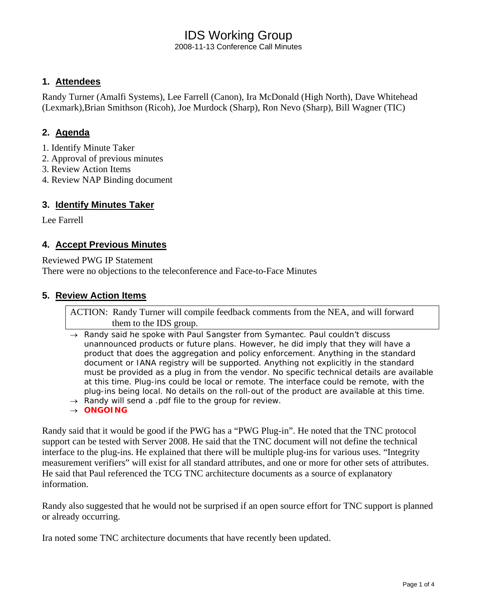2008-11-13 Conference Call Minutes

#### **1. Attendees**

Randy Turner (Amalfi Systems), Lee Farrell (Canon), Ira McDonald (High North), Dave Whitehead (Lexmark),Brian Smithson (Ricoh), Joe Murdock (Sharp), Ron Nevo (Sharp), Bill Wagner (TIC)

# **2. Agenda**

- 1. Identify Minute Taker
- 2. Approval of previous minutes
- 3. Review Action Items
- 4. Review NAP Binding document

#### **3. Identify Minutes Taker**

Lee Farrell

#### **4. Accept Previous Minutes**

Reviewed PWG IP Statement

There were no objections to the teleconference and Face-to-Face Minutes

### **5. Review Action Items**

ACTION: Randy Turner will compile feedback comments from the NEA, and will forward them to the IDS group.

- → *Randy said he spoke with Paul Sangster from Symantec. Paul couldn't discuss unannounced products or future plans. However, he did imply that they will have a product that does the aggregation and policy enforcement. Anything in the standard document or IANA registry will be supported. Anything not explicitly in the standard must be provided as a plug in from the vendor. No specific technical details are available at this time. Plug-ins could be local or remote. The interface could be remote, with the plug-ins being local. No details on the roll-out of the product are available at this time.*
- → *Randy will send a .pdf file to the group for review.*
- → *ONGOING*

Randy said that it would be good if the PWG has a "PWG Plug-in". He noted that the TNC protocol support can be tested with Server 2008. He said that the TNC document will not define the technical interface to the plug-ins. He explained that there will be multiple plug-ins for various uses. "Integrity measurement verifiers" will exist for all standard attributes, and one or more for other sets of attributes. He said that Paul referenced the TCG TNC architecture documents as a source of explanatory information.

Randy also suggested that he would not be surprised if an open source effort for TNC support is planned or already occurring.

Ira noted some TNC architecture documents that have recently been updated.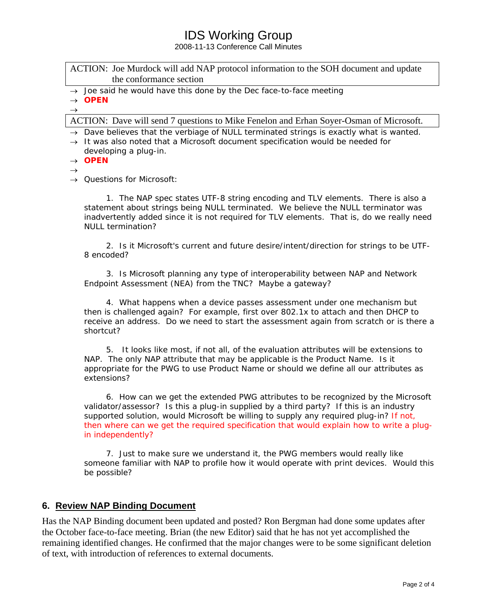2008-11-13 Conference Call Minutes

ACTION: Joe Murdock will add NAP protocol information to the SOH document and update the conformance section

→ *Joe said he would have this done by the Dec face-to-face meeting* 

→ *OPEN*  $\rightarrow$ 

ACTION: Dave will send 7 questions to Mike Fenelon and Erhan Soyer-Osman of Microsoft.

→ *Dave believes that the verbiage of NULL terminated strings is exactly what is wanted.* 

→ *It was also noted that a Microsoft document specification would be needed for developing a plug-in.* 

→ *OPEN*

 $\rightarrow$ 

→ *Questions for Microsoft:* 

 *1. The NAP spec states UTF-8 string encoding and TLV elements. There is also a statement about strings being NULL terminated. We believe the NULL terminator was inadvertently added since it is not required for TLV elements. That is, do we really need NULL termination?* 

 *2. Is it Microsoft's current and future desire/intent/direction for strings to be UTF-8 encoded?* 

 *3. Is Microsoft planning any type of interoperability between NAP and Network Endpoint Assessment (NEA) from the TNC? Maybe a gateway?* 

 *4. What happens when a device passes assessment under one mechanism but then is challenged again? For example, first over 802.1x to attach and then DHCP to receive an address. Do we need to start the assessment again from scratch or is there a shortcut?* 

 *5. It looks like most, if not all, of the evaluation attributes will be extensions to NAP. The only NAP attribute that may be applicable is the Product Name. Is it appropriate for the PWG to use Product Name or should we define all our attributes as extensions?* 

 *6. How can we get the extended PWG attributes to be recognized by the Microsoft validator/assessor? Is this a plug-in supplied by a third party? If this is an industry supported solution, would Microsoft be willing to supply any required plug-in? If not, then where can we get the required specification that would explain how to write a plugin independently?*

 *7. Just to make sure we understand it, the PWG members would really like someone familiar with NAP to profile how it would operate with print devices. Would this be possible?* 

#### **6. Review NAP Binding Document**

Has the NAP Binding document been updated and posted? Ron Bergman had done some updates after the October face-to-face meeting. Brian (the new Editor) said that he has not yet accomplished the remaining identified changes. He confirmed that the major changes were to be some significant deletion of text, with introduction of references to external documents.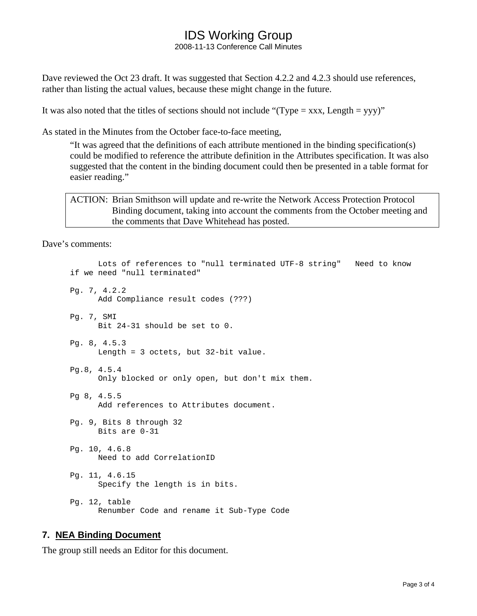2008-11-13 Conference Call Minutes

Dave reviewed the Oct 23 draft. It was suggested that Section 4.2.2 and 4.2.3 should use references, rather than listing the actual values, because these might change in the future.

It was also noted that the titles of sections should not include "(Type = xxx, Length = yyy)"

As stated in the Minutes from the October face-to-face meeting,

"It was agreed that the definitions of each attribute mentioned in the binding specification(s) could be modified to reference the attribute definition in the Attributes specification. It was also suggested that the content in the binding document could then be presented in a table format for easier reading."

ACTION: Brian Smithson will update and re-write the Network Access Protection Protocol Binding document, taking into account the comments from the October meeting and the comments that Dave Whitehead has posted.

Dave's comments:

```
 Lots of references to "null terminated UTF-8 string" Need to know 
if we need "null terminated" 
Pg. 7, 4.2.2 
       Add Compliance result codes (???) 
Pg. 7, SMI 
       Bit 24-31 should be set to 0. 
Pg. 8, 4.5.3 
       Length = 3 octets, but 32-bit value. 
Pg.8, 4.5.4 
       Only blocked or only open, but don't mix them. 
Pg 8, 4.5.5 
       Add references to Attributes document. 
Pg. 9, Bits 8 through 32 
       Bits are 0-31 
Pg. 10, 4.6.8 
       Need to add CorrelationID 
Pg. 11, 4.6.15 
       Specify the length is in bits. 
Pg. 12, table 
       Renumber Code and rename it Sub-Type Code
```
### **7. NEA Binding Document**

The group still needs an Editor for this document.